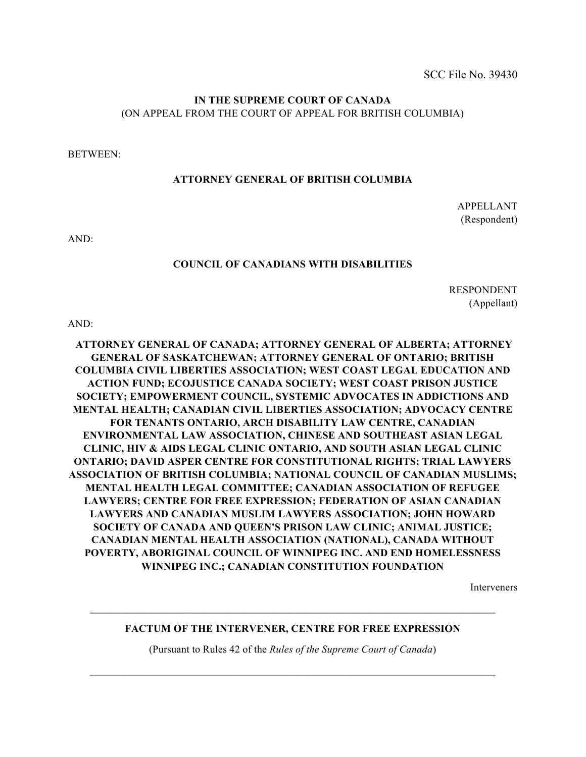## **IN THE SUPREME COURT OF CANADA** (ON APPEAL FROM THE COURT OF APPEAL FOR BRITISH COLUMBIA)

BETWEEN:

#### **ATTORNEY GENERAL OF BRITISH COLUMBIA**

APPELLANT (Respondent)

AND:

#### **COUNCIL OF CANADIANS WITH DISABILITIES**

RESPONDENT (Appellant)

AND:

**ATTORNEY GENERAL OF CANADA; ATTORNEY GENERAL OF ALBERTA; ATTORNEY GENERAL OF SASKATCHEWAN; ATTORNEY GENERAL OF ONTARIO; BRITISH COLUMBIA CIVIL LIBERTIES ASSOCIATION; WEST COAST LEGAL EDUCATION AND ACTION FUND; ECOJUSTICE CANADA SOCIETY; WEST COAST PRISON JUSTICE SOCIETY; EMPOWERMENT COUNCIL, SYSTEMIC ADVOCATES IN ADDICTIONS AND MENTAL HEALTH; CANADIAN CIVIL LIBERTIES ASSOCIATION; ADVOCACY CENTRE FOR TENANTS ONTARIO, ARCH DISABILITY LAW CENTRE, CANADIAN ENVIRONMENTAL LAW ASSOCIATION, CHINESE AND SOUTHEAST ASIAN LEGAL CLINIC, HIV & AIDS LEGAL CLINIC ONTARIO, AND SOUTH ASIAN LEGAL CLINIC ONTARIO; DAVID ASPER CENTRE FOR CONSTITUTIONAL RIGHTS; TRIAL LAWYERS ASSOCIATION OF BRITISH COLUMBIA; NATIONAL COUNCIL OF CANADIAN MUSLIMS; MENTAL HEALTH LEGAL COMMITTEE; CANADIAN ASSOCIATION OF REFUGEE LAWYERS; CENTRE FOR FREE EXPRESSION; FEDERATION OF ASIAN CANADIAN LAWYERS AND CANADIAN MUSLIM LAWYERS ASSOCIATION; JOHN HOWARD SOCIETY OF CANADA AND QUEEN'S PRISON LAW CLINIC; ANIMAL JUSTICE; CANADIAN MENTAL HEALTH ASSOCIATION (NATIONAL), CANADA WITHOUT POVERTY, ABORIGINAL COUNCIL OF WINNIPEG INC. AND END HOMELESSNESS WINNIPEG INC.; CANADIAN CONSTITUTION FOUNDATION**

Interveners

### **FACTUM OF THE INTERVENER, CENTRE FOR FREE EXPRESSION**

 $\mathcal{L}_\mathcal{L} = \mathcal{L}_\mathcal{L} = \mathcal{L}_\mathcal{L} = \mathcal{L}_\mathcal{L} = \mathcal{L}_\mathcal{L} = \mathcal{L}_\mathcal{L} = \mathcal{L}_\mathcal{L} = \mathcal{L}_\mathcal{L} = \mathcal{L}_\mathcal{L} = \mathcal{L}_\mathcal{L} = \mathcal{L}_\mathcal{L} = \mathcal{L}_\mathcal{L} = \mathcal{L}_\mathcal{L} = \mathcal{L}_\mathcal{L} = \mathcal{L}_\mathcal{L} = \mathcal{L}_\mathcal{L} = \mathcal{L}_\mathcal{L}$ 

(Pursuant to Rules 42 of the *Rules of the Supreme Court of Canada*)

**\_\_\_\_\_\_\_\_\_\_\_\_\_\_\_\_\_\_\_\_\_\_\_\_\_\_\_\_\_\_\_\_\_\_\_\_\_\_\_\_\_\_\_\_\_\_\_\_\_\_\_\_\_\_\_\_\_\_\_\_\_\_\_\_\_\_\_\_\_\_\_\_\_\_\_\_\_**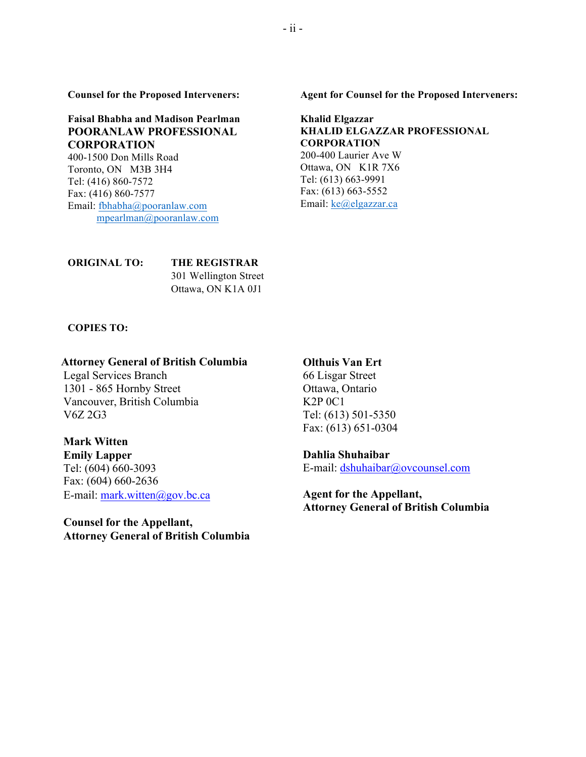**Counsel for the Proposed Interveners:**

**Faisal Bhabha and Madison Pearlman POORANLAW PROFESSIONAL CORPORATION**

400-1500 Don Mills Road Toronto, ON M3B 3H4 Tel: (416) 860-7572 Fax: (416) 860-7577 Email: fbhabha@pooranlaw.com mpearlman@pooranlaw.com **Agent for Counsel for the Proposed Interveners:**

#### **Khalid Elgazzar KHALID ELGAZZAR PROFESSIONAL CORPORATION** 200-400 Laurier Ave W

Ottawa, ON K1R 7X6 Tel: (613) 663-9991 Fax: (613) 663-5552 Email: ke@elgazzar.ca

**ORIGINAL TO: THE REGISTRAR** 301 Wellington Street Ottawa, ON K1A 0J1

**COPIES TO:**

#### **Attorney General of British Columbia Olthuis Van Ert**

Legal Services Branch 66 Lisgar Street 1301 - 865 Hornby Street Ottawa, Ontario Vancouver, British Columbia K2P 0C1 V6Z 2G3 Tel: (613) 501-5350

### **Mark Witten**

**Emily Lapper Dahlia Shuhaibar** Fax: (604) 660-2636 E-mail: mark.witten@gov.bc.ca **Agent** for the Appellant,

**Counsel for the Appellant, Attorney General of British Columbia**

Fax: (613) 651-0304

Tel: (604) 660-3093 E-mail: dshuhaibar@ovcounsel.com

**Attorney General of British Columbia**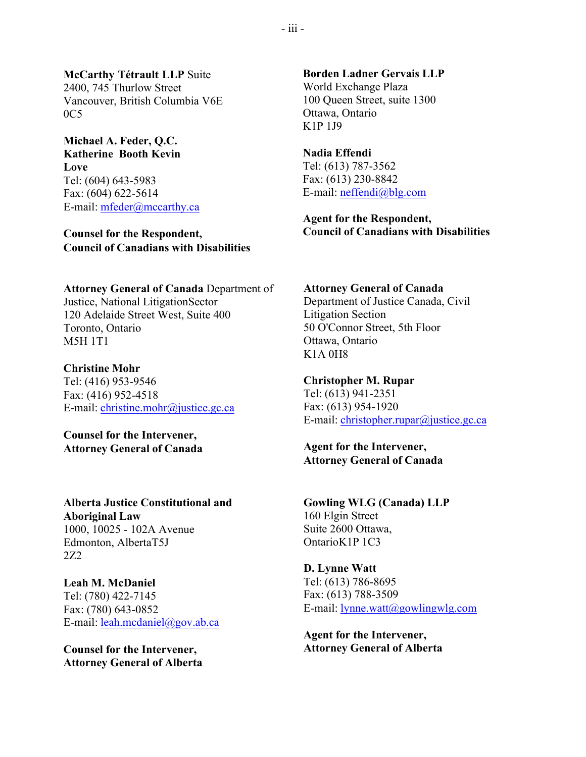**McCarthy Tétrault LLP** Suite 2400, 745 Thurlow Street Vancouver, British Columbia V6E  $0C5$ 

**Michael A. Feder, Q.C. Katherine Booth Kevin Love** Tel: (604) 643-5983 Fax: (604) 622-5614

E-mail: mfeder@mccarthy.ca

**Counsel for the Respondent, Council of Canadians with Disabilities**

**Attorney General of Canada** Department of Justice, National LitigationSector 120 Adelaide Street West, Suite 400 Toronto, Ontario M5H 1T1

**Christine Mohr** Tel: (416) 953-9546 Fax: (416) 952-4518 E-mail: christine.mohr@justice.gc.ca

**Counsel for the Intervener, Attorney General of Canada**

**Alberta Justice Constitutional and Aboriginal Law** 1000, 10025 - 102A Avenue Edmonton, AlbertaT5J 2Z2

**Leah M. McDaniel** Tel: (780) 422-7145 Fax: (780) 643-0852 E-mail: leah.mcdaniel@gov.ab.ca

**Counsel for the Intervener, Attorney General of Alberta** **Borden Ladner Gervais LLP** World Exchange Plaza 100 Queen Street, suite 1300 Ottawa, Ontario K1P 1J9

**Nadia Effendi** Tel: (613) 787-3562 Fax: (613) 230-8842 E-mail: neffendi@blg.com

**Agent for the Respondent, Council of Canadians with Disabilities**

#### **Attorney General of Canada**

Department of Justice Canada, Civil Litigation Section 50 O'Connor Street, 5th Floor Ottawa, Ontario K1A 0H8

**Christopher M. Rupar** Tel: (613) 941-2351 Fax: (613) 954-1920 E-mail: christopher.rupar@justice.gc.ca

**Agent for the Intervener, Attorney General of Canada**

**Gowling WLG (Canada) LLP** 160 Elgin Street Suite 2600 Ottawa, OntarioK1P 1C3

**D. Lynne Watt** Tel: (613) 786-8695 Fax: (613) 788-3509 E-mail:  $l$ ynne.watt@gowlingwlg.com

**Agent for the Intervener, Attorney General of Alberta**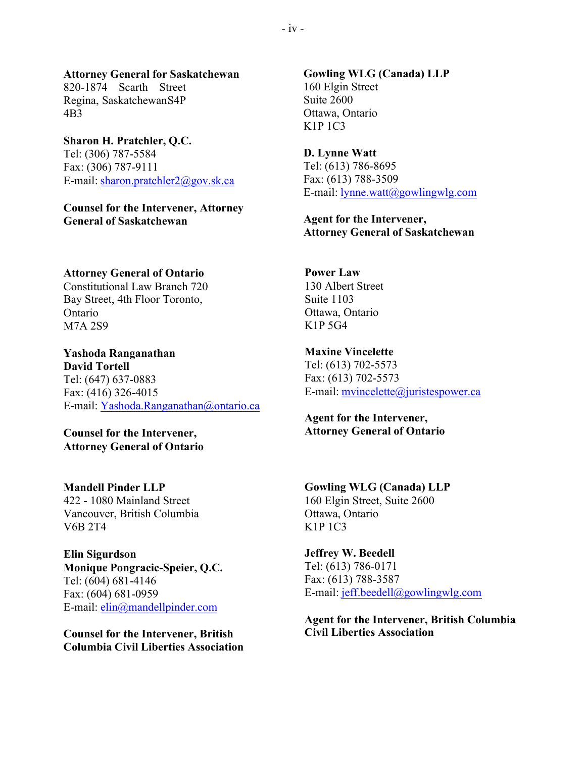**Attorney General for Saskatchewan** 820-1874 Scarth Street Regina, SaskatchewanS4P 4B3

## **Sharon H. Pratchler, Q.C.** Tel: (306) 787-5584 Fax: (306) 787-9111 E-mail: sharon.pratchler2@gov.sk.ca

**Counsel for the Intervener, Attorney General of Saskatchewan**

**Attorney General of Ontario**

Constitutional Law Branch 720 Bay Street, 4th Floor Toronto, Ontario M7A 2S9

**Yashoda Ranganathan David Tortell** Tel: (647) 637-0883 Fax: (416) 326-4015 E-mail: Yashoda.Ranganathan@ontario.ca

**Counsel for the Intervener, Attorney General of Ontario**

**Mandell Pinder LLP** 422 - 1080 Mainland Street Vancouver, British Columbia V6B 2T4

**Elin Sigurdson Monique Pongracic-Speier, Q.C.** Tel: (604) 681-4146 Fax: (604) 681-0959 E-mail: elin@mandellpinder.com

**Counsel for the Intervener, British Columbia Civil Liberties Association**

**Gowling WLG (Canada) LLP** 160 Elgin Street Suite 2600 Ottawa, Ontario K1P 1C3

**D. Lynne Watt** Tel: (613) 786-8695 Fax: (613) 788-3509 E-mail: lynne.watt@gowlingwlg.com

**Agent for the Intervener, Attorney General of Saskatchewan**

**Power Law** 130 Albert Street Suite 1103 Ottawa, Ontario K1P 5G4

**Maxine Vincelette** Tel: (613) 702-5573 Fax: (613) 702-5573 E-mail: mvincelette@juristespower.ca

**Agent for the Intervener, Attorney General of Ontario**

**Gowling WLG (Canada) LLP** 160 Elgin Street, Suite 2600 Ottawa, Ontario K1P 1C3

**Jeffrey W. Beedell** Tel: (613) 786-0171 Fax: (613) 788-3587 E-mail: jeff.beedell@gowlingwlg.com

**Agent for the Intervener, British Columbia Civil Liberties Association**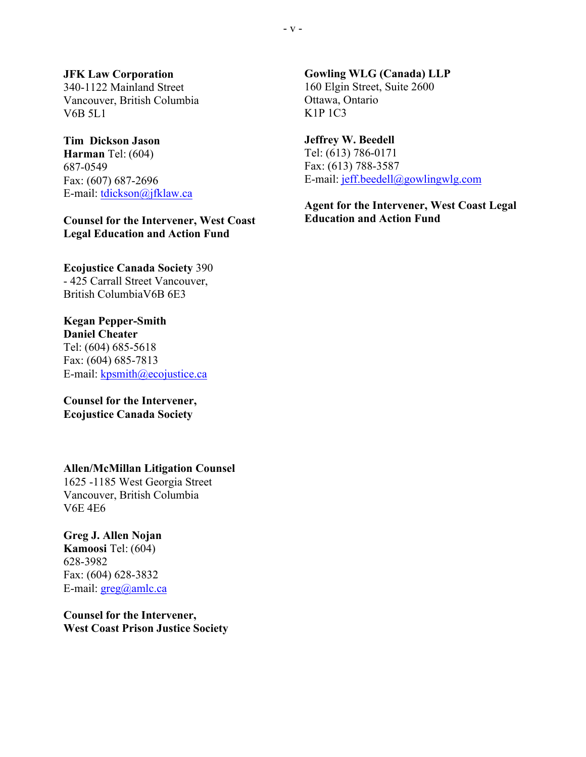**JFK Law Corporation** 340-1122 Mainland Street Vancouver, British Columbia V6B 5L1

## **Tim Dickson Jason**

**Harman** Tel: (604) 687-0549 Fax: (607) 687-2696 E-mail: tdickson@jfklaw.ca

**Counsel for the Intervener, West Coast Legal Education and Action Fund**

**Ecojustice Canada Society** 390 - 425 Carrall Street Vancouver, British ColumbiaV6B 6E3

**Kegan Pepper-Smith Daniel Cheater** Tel: (604) 685-5618 Fax: (604) 685-7813 E-mail: kpsmith@ecojustice.ca

**Counsel for the Intervener, Ecojustice Canada Society**

**Allen/McMillan Litigation Counsel**

1625 -1185 West Georgia Street Vancouver, British Columbia V6E 4E6

**Greg J. Allen Nojan Kamoosi** Tel: (604) 628-3982 Fax: (604) 628-3832 E-mail: greg@amlc.ca

**Counsel for the Intervener, West Coast Prison Justice Society**

**Gowling WLG (Canada) LLP** 160 Elgin Street, Suite 2600 Ottawa, Ontario K1P 1C3

**Jeffrey W. Beedell** Tel: (613) 786-0171 Fax: (613) 788-3587 E-mail: jeff.beedell@gowlingwlg.com

**Agent for the Intervener, West Coast Legal Education and Action Fund**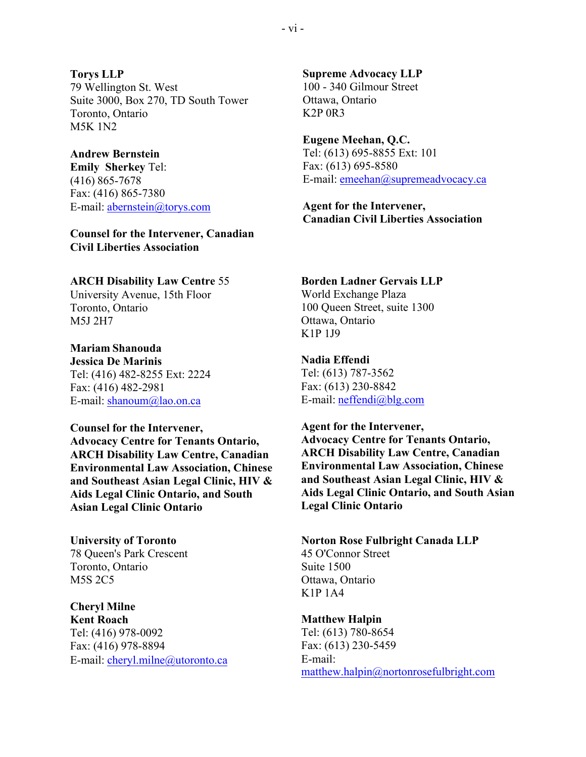**Torys LLP** 79 Wellington St. West Suite 3000, Box 270, TD South Tower Toronto, Ontario M5K 1N2

**Andrew Bernstein Emily Sherkey** Tel: (416) 865-7678 Fax: (416) 865-7380 E-mail: abernstein@torys.com

**Counsel for the Intervener, Canadian Civil Liberties Association**

#### **ARCH Disability Law Centre** 55

University Avenue, 15th Floor Toronto, Ontario M5J 2H7

**Mariam Shanouda Jessica De Marinis**

Tel: (416) 482-8255 Ext: 2224 Fax: (416) 482-2981 E-mail: shanoum@lao.on.ca

**Counsel for the Intervener, Advocacy Centre for Tenants Ontario, ARCH Disability Law Centre, Canadian Environmental Law Association, Chinese and Southeast Asian Legal Clinic, HIV & Aids Legal Clinic Ontario, and South Asian Legal Clinic Ontario**

78 Queen's Park Crescent 45 O'Connor Street Toronto, Ontario Suite 1500 M5S 2C5 Ottawa, Ontario

**Cheryl Milne Kent Roach Matthew Halpin** Tel: (416) 978-0092<br>
Fax: (416) 978-8894<br>
Fax: (613) 230-5459 Fax: (416) 978-8894 E-mail: cheryl.milne@utoronto.ca E-mail:

**Supreme Advocacy LLP** 100 - 340 Gilmour Street Ottawa, Ontario K2P 0R3

**Eugene Meehan, Q.C.** Tel: (613) 695-8855 Ext: 101 Fax: (613) 695-8580 E-mail: emeehan@supremeadvocacy.ca

**Agent for the Intervener, Canadian Civil Liberties Association**

#### **Borden Ladner Gervais LLP**

World Exchange Plaza 100 Queen Street, suite 1300 Ottawa, Ontario K1P 1J9

**Nadia Effendi**

Tel: (613) 787-3562 Fax: (613) 230-8842 E-mail: neffendi@blg.com

**Agent for the Intervener, Advocacy Centre for Tenants Ontario, ARCH Disability Law Centre, Canadian Environmental Law Association, Chinese and Southeast Asian Legal Clinic, HIV & Aids Legal Clinic Ontario, and South Asian Legal Clinic Ontario**

**University of Toronto Norton Rose Fulbright Canada LLP** K1P 1A4

matthew.halpin@nortonrosefulbright.com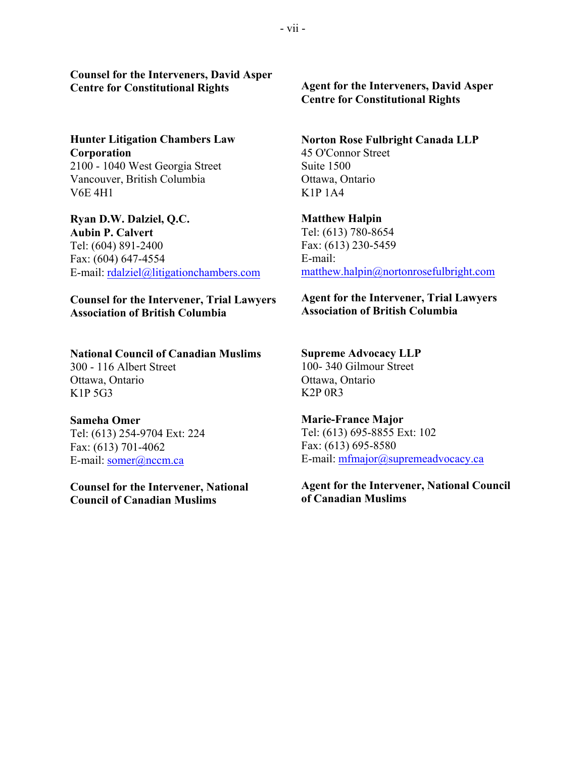**Counsel for the Interveners, David Asper Centre for Constitutional Rights Agent for the Interveners, David Asper**

**Corporation** 45 O'Connor Street 2100 - 1040 West Georgia Street Suite 1500 Vancouver, British Columbia **Ottawa, Ontario**  $V6E 4H1$  K1P 1A4

**Ryan D.W. Dalziel, Q.C. Matthew Halpin Aubin P. Calvert** Tel: (613) 780-8654 Tel: (604) 891-2400 Fax: (613) 230-5459 Fax: (604) 647-4554 E-mail: E-mail: rdalziel@litigationchambers.com matthew.halpin@nortonrosefulbright.com

**Counsel for the Intervener, Trial Lawyers Association of British Columbia**

## **National Council of Canadian Muslims**

300 - 116 Albert Street Ottawa, Ontario K1P 5G3

#### **Sameha Omer**

Tel: (613) 254-9704 Ext: 224 Fax: (613) 701-4062 E-mail: somer@nccm.ca

**Counsel for the Intervener, National Council of Canadian Muslims**

**Centre for Constitutional Rights**

#### **Hunter Litigation Chambers Law Norton Rose Fulbright Canada LLP**

**Agent for the Intervener, Trial Lawyers Association of British Columbia**

## **Supreme Advocacy LLP** 100- 340 Gilmour Street Ottawa, Ontario K2P 0R3

**Marie-France Major** Tel: (613) 695-8855 Ext: 102 Fax: (613) 695-8580 E-mail: mfmajor@supremeadvocacy.ca

**Agent for the Intervener, National Council of Canadian Muslims**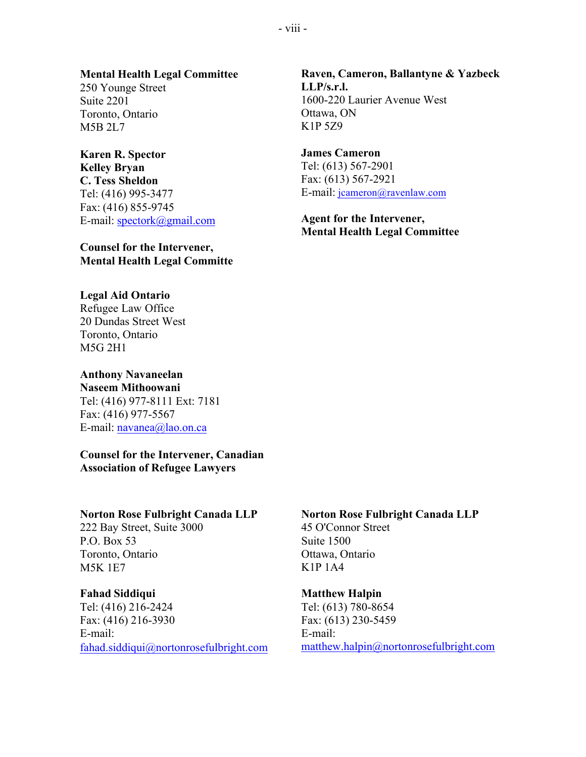### **Mental Health Legal Committee**

250 Younge Street Suite 2201 Toronto, Ontario M5B 2L7

### **Karen R. Spector Kelley Bryan C. Tess Sheldon**

Tel: (416) 995-3477 Fax: (416) 855-9745 E-mail: spectork@gmail.com

## **Counsel for the Intervener, Mental Health Legal Committe**

## **Legal Aid Ontario**

Refugee Law Office 20 Dundas Street West Toronto, Ontario M5G 2H1

# **Anthony Navaneelan**

**Naseem Mithoowani** Tel: (416) 977-8111 Ext: 7181 Fax: (416) 977-5567 E-mail: navanea@lao.on.ca

## **Counsel for the Intervener, Canadian Association of Refugee Lawyers**

222 Bay Street, Suite 3000 45 O'Connor Street P.O. Box 53 Suite 1500 Toronto, Ontario Ottawa, Ontario  $M5K 1E7$  K1P 1A4

Tel: (416) 216-2424 Tel: (613) 780-8654 Fax: (416) 216-3930 Fax: (613) 230-5459 E-mail: E-mail:

## **Raven, Cameron, Ballantyne & Yazbeck LLP/s.r.l.** 1600-220 Laurier Avenue West Ottawa, ON K1P 5Z9

## **James Cameron**

Tel: (613) 567-2901 Fax: (613) 567-2921 E-mail: jcameron@ravenlaw.com

## **Agent for the Intervener, Mental Health Legal Committee**

## **Norton Rose Fulbright Canada LLP Norton Rose Fulbright Canada LLP**

## **Fahad** Siddiqui **Matthew** Halpin

fahad.siddiqui@nortonrosefulbright.com matthew.halpin@nortonrosefulbright.com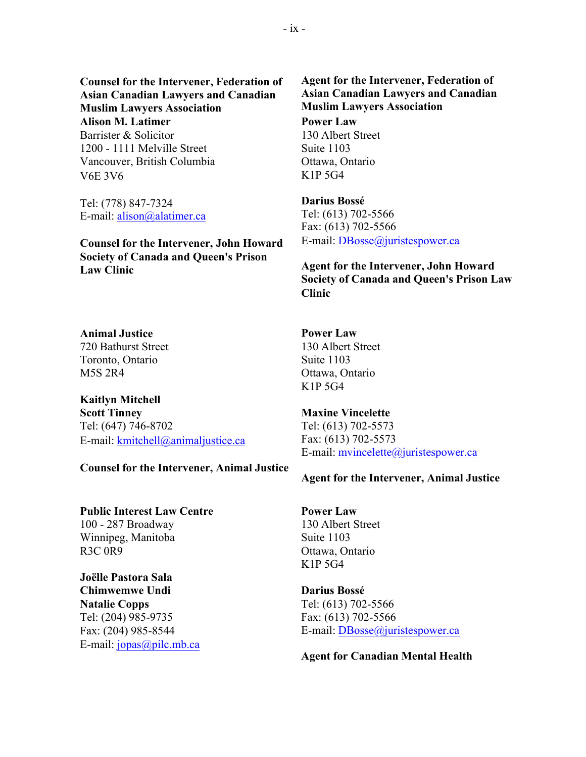**Counsel for the Intervener, Federation of Asian Canadian Lawyers and Canadian Muslim Lawyers Association Alison M. Latimer Power Law** Barrister & Solicitor 130 Albert Street 1200 - 1111 Melville Street Suite 1103 Vancouver, British Columbia **Ottawa**, Ontario V6E 3V6 K1P 5G4

Tel: (778) 847-7324 E-mail: alison@alatimer.ca

**Counsel for the Intervener, John Howard** E-mail: DBosse@juristespower.ca **Society of Canada and Queen's Prison Law Clinic Agent for the Intervener, John Howard**

**Animal Justice Power Law** 720 Bathurst Street 130 Albert Street Toronto, Ontario Suite 1103 M5S 2R4 Ottawa, Ontario

**Kaitlyn Mitchell Scott Tinney Maxine Vincelette** Tel: (647) 746-8702 Tel: (613) 702-5573 E-mail: kmitchell@animaljustice.ca Fax: (613) 702-5573

**Counsel for the Intervener, Animal Justice**

**Public Interest Law Centre Power Law** 100 - 287 Broadway 130 Albert Street Winnipeg, Manitoba Suite 1103

**Joëlle Pastora Sala Chimwemwe Undi Darius Bossé Natalie Copps** Tel: (613) 702-5566 Tel: (204) 985-9735 Fax: (613) 702-5566 E-mail: jopas@pilc.mb.ca

**Agent for the Intervener, Federation of Asian Canadian Lawyers and Canadian Muslim Lawyers Association**

**Darius Bossé** Tel: (613) 702-5566 Fax: (613) 702-5566

**Society of Canada and Queen's Prison Law Clinic**

K1P 5G4

E-mail: mvincelette@juristespower.ca

### **Agent for the Intervener, Animal Justice**

R3C 0R9 Ottawa, Ontario K1P 5G4

Fax: (204) 985-8544 E-mail: DBosse@juristespower.ca

**Agent for Canadian Mental Health**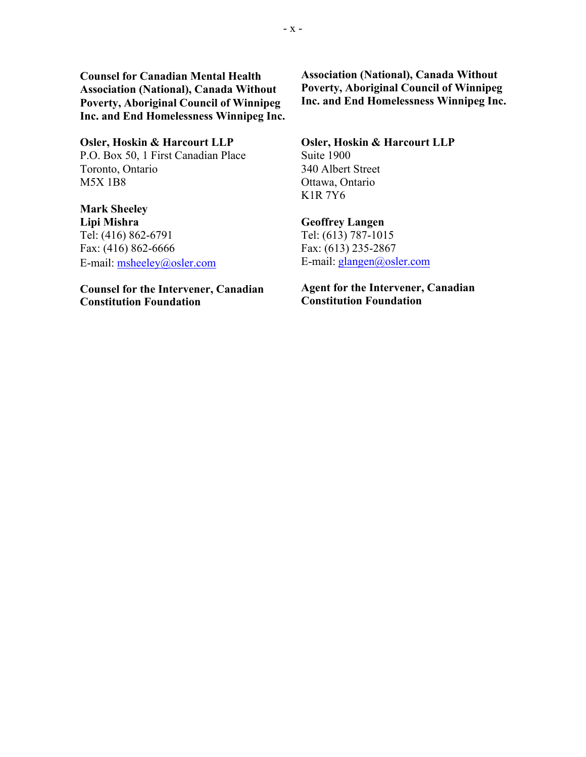**Counsel for Canadian Mental Health Association (National), Canada Without Poverty, Aboriginal Council of Winnipeg Inc. and End Homelessness Winnipeg Inc.**

# **Osler, Hoskin & Harcourt LLP Osler, Hoskin & Harcourt LLP**

P.O. Box 50, 1 First Canadian Place Suite 1900 Toronto, Ontario 340 Albert Street M5X 1B8 Ottawa, Ontario

**Mark Sheeley** Tel: (416) 862-6791<br>
Fax: (416) 862-6666 Fax: (613) 235-2867 Fax: (416) 862-6666 E-mail: msheeley@osler.com E-mail: glangen@osler.com

**Counsel for the Intervener, Canadian Constitution Foundation**

**Association (National), Canada Without Poverty, Aboriginal Council of Winnipeg Inc. and End Homelessness Winnipeg Inc.**

K1R 7Y6

## **Lipi Mishra Geoffrey Langen**

## **Agent for the Intervener, Canadian Constitution Foundation**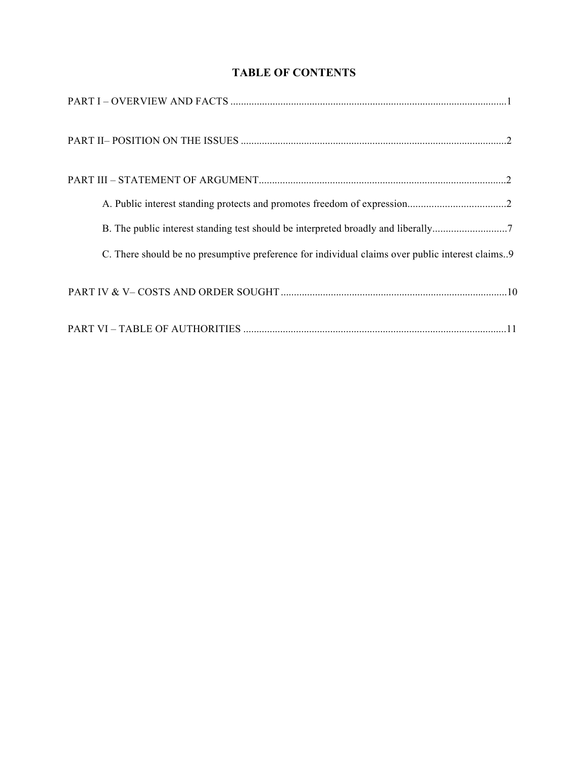# **TABLE OF CONTENTS**

| B. The public interest standing test should be interpreted broadly and liberally7                 |
|---------------------------------------------------------------------------------------------------|
| C. There should be no presumptive preference for individual claims over public interest claims. 9 |
|                                                                                                   |
|                                                                                                   |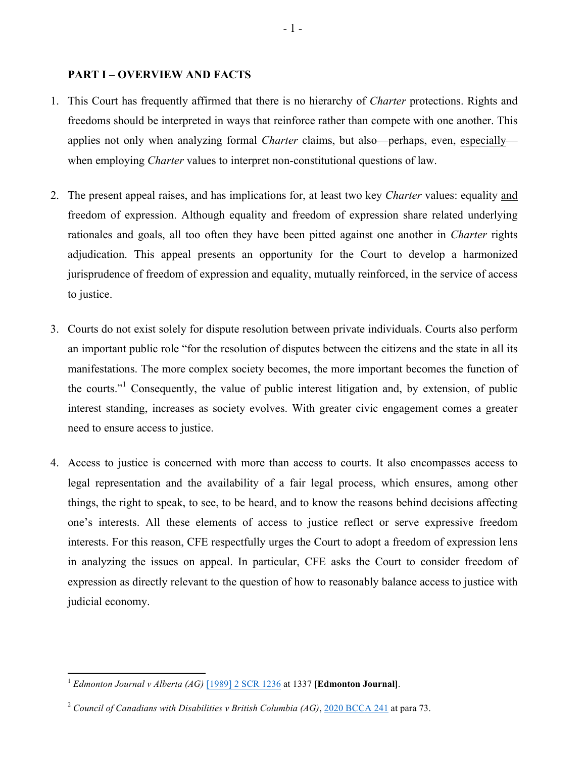## **PART I – OVERVIEW AND FACTS**

- 1. This Court has frequently affirmed that there is no hierarchy of *Charter* protections. Rights and freedoms should be interpreted in ways that reinforce rather than compete with one another. This applies not only when analyzing formal *Charter* claims, but also—perhaps, even, especially when employing *Charter* values to interpret non-constitutional questions of law.
- 2. The present appeal raises, and has implications for, at least two key *Charter* values: equality and freedom of expression. Although equality and freedom of expression share related underlying rationales and goals, all too often they have been pitted against one another in *Charter* rights adjudication. This appeal presents an opportunity for the Court to develop a harmonized jurisprudence of freedom of expression and equality, mutually reinforced, in the service of access to justice.
- 3. Courts do not exist solely for dispute resolution between private individuals. Courts also perform an important public role "for the resolution of disputes between the citizens and the state in all its manifestations. The more complex society becomes, the more important becomes the function of the courts."<sup>1</sup> Consequently, the value of public interest litigation and, by extension, of public interest standing, increases as society evolves. With greater civic engagement comes a greater need to ensure access to justice.
- 4. Access to justice is concerned with more than access to courts. It also encompasses access to legal representation and the availability of a fair legal process, which ensures, among other things, the right to speak, to see, to be heard, and to know the reasons behind decisions affecting one's interests. All these elements of access to justice reflect or serve expressive freedom interests. For this reason, CFE respectfully urges the Court to adopt a freedom of expression lens in analyzing the issues on appeal. In particular, CFE asks the Court to consider freedom of expression as directly relevant to the question of how to reasonably balance access to justice with judicial economy.

<sup>1</sup> *Edmonton Journal v Alberta (AG)* [\[1989\] 2 SCR 1236](https://www.canlii.org/en/ca/scc/doc/1989/1989canlii20/1989canlii20.pdf) at 1337 **[Edmonton Journal]**.

<sup>2</sup> *Council of Canadians with Disabilities v British Columbia (AG)*, [2020 BCCA 241](https://www.canlii.org/en/bc/bcca/doc/2020/2020bcca241/2020bcca241.html?autocompleteStr=2020 BCCA 241&autocompletePos=1) at para 73.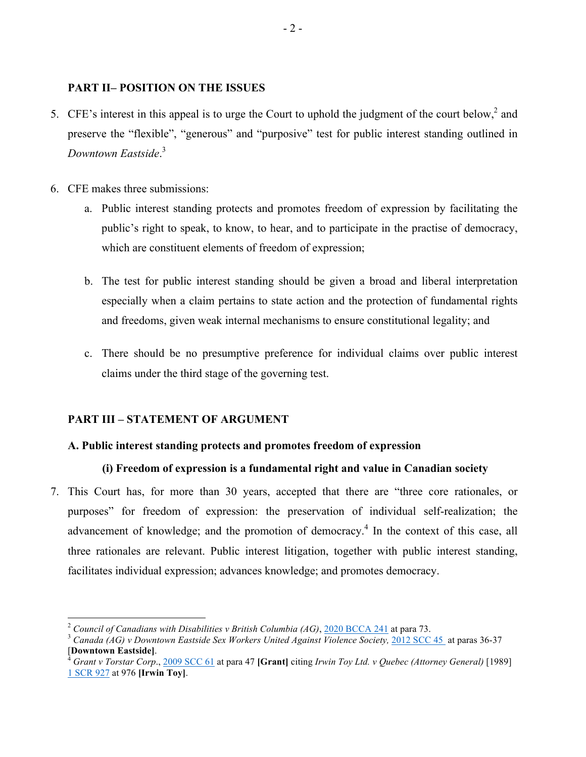## **PART II– POSITION ON THE ISSUES**

- 5. CFE's interest in this appeal is to urge the Court to uphold the judgment of the court below,<sup>2</sup> and preserve the "flexible", "generous" and "purposive" test for public interest standing outlined in *Downtown Eastside*. 3
- 6. CFE makes three submissions:
	- a. Public interest standing protects and promotes freedom of expression by facilitating the public's right to speak, to know, to hear, and to participate in the practise of democracy, which are constituent elements of freedom of expression;
	- b. The test for public interest standing should be given a broad and liberal interpretation especially when a claim pertains to state action and the protection of fundamental rights and freedoms, given weak internal mechanisms to ensure constitutional legality; and
	- c. There should be no presumptive preference for individual claims over public interest claims under the third stage of the governing test.

## **PART III – STATEMENT OF ARGUMENT**

## **A. Public interest standing protects and promotes freedom of expression**

## **(i) Freedom of expression is a fundamental right and value in Canadian society**

7. This Court has, for more than 30 years, accepted that there are "three core rationales, or purposes" for freedom of expression: the preservation of individual self-realization; the advancement of knowledge; and the promotion of democracy.<sup>4</sup> In the context of this case, all three rationales are relevant. Public interest litigation, together with public interest standing, facilitates individual expression; advances knowledge; and promotes democracy.

<sup>&</sup>lt;sup>2</sup> Council of Canadians with Disabilities v British Columbia (AG), <u>2020 BCCA 241</u> at para 73.<br><sup>3</sup> Canada (AG) v Downtown Eastside Sex Workers United Against Violence Society, [2012 SCC 45](https://www.canlii.org/en/ca/scc/doc/2012/2012scc45/2012scc45.html?autocompleteStr=downtown&autocompletePos=1) at paras 36-37

<sup>[</sup>**Downtown Eastside]**. 4 *Grant v Torstar Corp*., [2009 SCC 61](https://www.canlii.org/en/ca/scc/doc/2009/2009scc61/2009scc61.html) at para 47 **[Grant]** citing *Irwin Toy Ltd. v Quebec (Attorney General)* [1989]

[<sup>1</sup> SCR 927](https://www.canlii.org/en/ca/scc/doc/1989/1989canlii87/1989canlii87.pdf) at 976 **[Irwin Toy]**.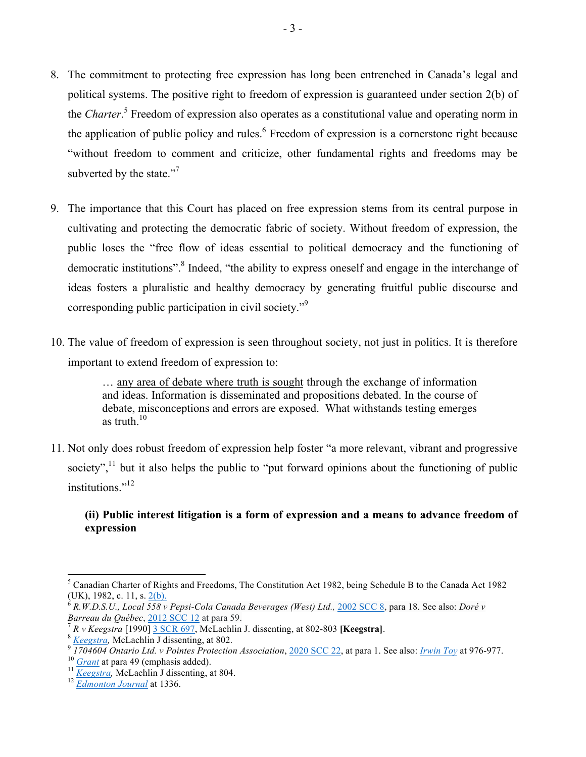- 8. The commitment to protecting free expression has long been entrenched in Canada's legal and political systems. The positive right to freedom of expression is guaranteed under section 2(b) of the *Charter*. 5 Freedom of expression also operates as a constitutional value and operating norm in the application of public policy and rules. $<sup>6</sup>$  Freedom of expression is a cornerstone right because</sup> "without freedom to comment and criticize, other fundamental rights and freedoms may be subverted by the state."<sup>7</sup>
- 9. The importance that this Court has placed on free expression stems from its central purpose in cultivating and protecting the democratic fabric of society. Without freedom of expression, the public loses the "free flow of ideas essential to political democracy and the functioning of democratic institutions".<sup>8</sup> Indeed, "the ability to express oneself and engage in the interchange of ideas fosters a pluralistic and healthy democracy by generating fruitful public discourse and corresponding public participation in civil society."9
- 10. The value of freedom of expression is seen throughout society, not just in politics. It is therefore important to extend freedom of expression to:

… any area of debate where truth is sought through the exchange of information and ideas. Information is disseminated and propositions debated. In the course of debate, misconceptions and errors are exposed. What withstands testing emerges as truth  $10$ 

11. Not only does robust freedom of expression help foster "a more relevant, vibrant and progressive society", $11$  but it also helps the public to "put forward opinions about the functioning of public institutions<sup>"12</sup>

## **(ii) Public interest litigation is a form of expression and a means to advance freedom of expression**

<sup>5</sup> Canadian Charter of Rights and Freedoms, The Constitution Act 1982, being Schedule B to the Canada Act 1982 (UK), 1982, c. 11, s. 2(b).<br><sup>6</sup> *R.W.D.S.U., Local 558 v Pepsi-Cola Canada Beverages (West) Ltd., [2002 SCC 8,](https://www.canlii.org/en/ca/scc/doc/2002/2002scc8/2002scc8.html?autocompleteStr=R.W.D.S.U.%2C Local 558 v. Pepsi-Cola Canada Beverages (West) Ltd&autocompletePos=1) para 18. See also: <i>Doré v* 

*Barreau du Québec,* 2012 SCC 12 at para 59.<br>
<sup>7</sup> R v Keegstra [1990] <u>3 SCR 697</u>, McLachlin J. dissenting, at 802-803 [Keegstra].<br>
<sup>8</sup> Keegstra, McLachlin J dissenting, at 802.<br>
<sup>9</sup> *I704604 Ontario Ltd. v Pointes Protec*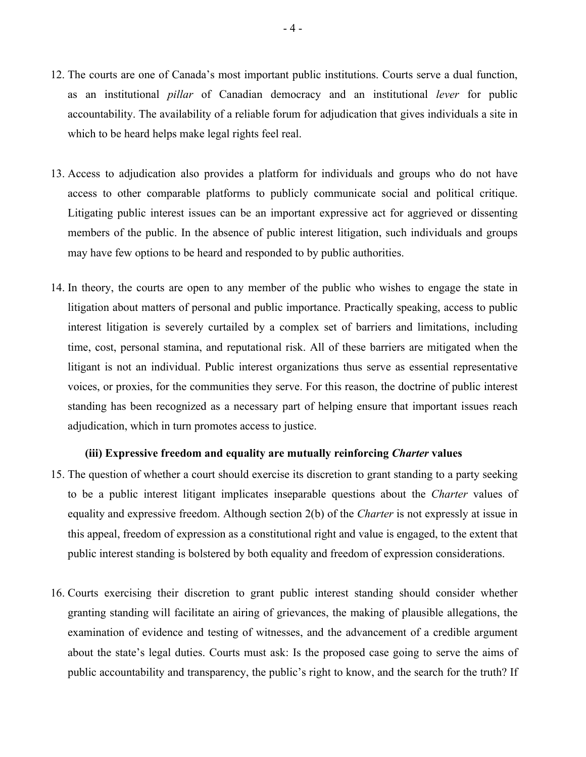- 12. The courts are one of Canada's most important public institutions. Courts serve a dual function, as an institutional *pillar* of Canadian democracy and an institutional *lever* for public accountability. The availability of a reliable forum for adjudication that gives individuals a site in which to be heard helps make legal rights feel real.
- 13. Access to adjudication also provides a platform for individuals and groups who do not have access to other comparable platforms to publicly communicate social and political critique. Litigating public interest issues can be an important expressive act for aggrieved or dissenting members of the public. In the absence of public interest litigation, such individuals and groups may have few options to be heard and responded to by public authorities.
- 14. In theory, the courts are open to any member of the public who wishes to engage the state in litigation about matters of personal and public importance. Practically speaking, access to public interest litigation is severely curtailed by a complex set of barriers and limitations, including time, cost, personal stamina, and reputational risk. All of these barriers are mitigated when the litigant is not an individual. Public interest organizations thus serve as essential representative voices, or proxies, for the communities they serve. For this reason, the doctrine of public interest standing has been recognized as a necessary part of helping ensure that important issues reach adjudication, which in turn promotes access to justice.

### **(iii) Expressive freedom and equality are mutually reinforcing** *Charter* **values**

- 15. The question of whether a court should exercise its discretion to grant standing to a party seeking to be a public interest litigant implicates inseparable questions about the *Charter* values of equality and expressive freedom. Although section 2(b) of the *Charter* is not expressly at issue in this appeal, freedom of expression as a constitutional right and value is engaged, to the extent that public interest standing is bolstered by both equality and freedom of expression considerations.
- 16. Courts exercising their discretion to grant public interest standing should consider whether granting standing will facilitate an airing of grievances, the making of plausible allegations, the examination of evidence and testing of witnesses, and the advancement of a credible argument about the state's legal duties. Courts must ask: Is the proposed case going to serve the aims of public accountability and transparency, the public's right to know, and the search for the truth? If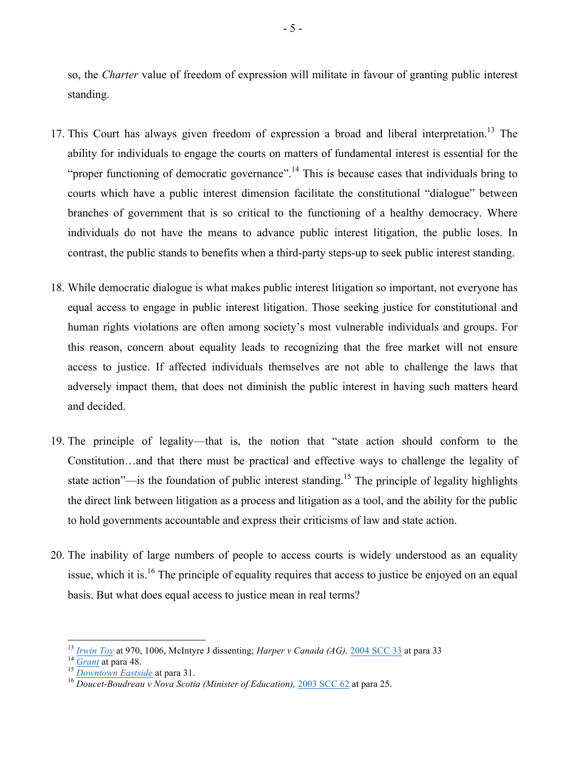so, the *Charter* value of freedom of expression will militate in favour of granting public interest standing.

- 17. This Court has always given freedom of expression a broad and liberal interpretation.<sup>13</sup> The ability for individuals to engage the courts on matters of fundamental interest is essential for the "proper functioning of democratic governance".<sup>14</sup> This is because cases that individuals bring to courts which have a public interest dimension facilitate the constitutional "dialogue" between branches of government that is so critical to the functioning of a healthy democracy. Where individuals do not have the means to advance public interest litigation, the public loses. In contrast, the public stands to benefits when a third-party steps-up to seek public interest standing.
- 18. While democratic dialogue is what makes public interest litigation so important, not everyone has equal access to engage in public interest litigation. Those seeking justice for constitutional and human rights violations are often among society's most vulnerable individuals and groups. For this reason, concern about equality leads to recognizing that the free market will not ensure access to justice. If affected individuals themselves are not able to challenge the laws that adversely impact them, that does not diminish the public interest in having such matters heard and decided.
- 19. The principle of legality—that is, the notion that "state action should conform to the Constitution…and that there must be practical and effective ways to challenge the legality of state action"—is the foundation of public interest standing.<sup>15</sup> The principle of legality highlights the direct link between litigation as a process and litigation as a tool, and the ability for the public to hold governments accountable and express their criticisms of law and state action.
- 20. The inability of large numbers of people to access courts is widely understood as an equality issue, which it is.<sup>16</sup> The principle of equality requires that access to justice be enjoyed on an equal basis. But what does equal access to justice mean in real terms?

<sup>&</sup>lt;sup>13</sup> [Irwin Toy](https://www.canlii.org/en/ca/scc/doc/1989/1989canlii87/1989canlii87.pdf) at 970, 1006, McIntyre J dissenting; *Harper v Canada (AG)*, <u>[2004 SCC 33](https://www.canlii.org/en/ca/scc/doc/2004/2004scc33/2004scc33.html?autocompleteStr=harper&autocompletePos=3)</u> at para 33<br><sup>14</sup> <u>Grant</u> at para 48.<br><sup>15</sup> Downtown Eastside at para 31.<br><sup>16</sup> Doucet-Boudreau v Nova Scotia (Minister of Education),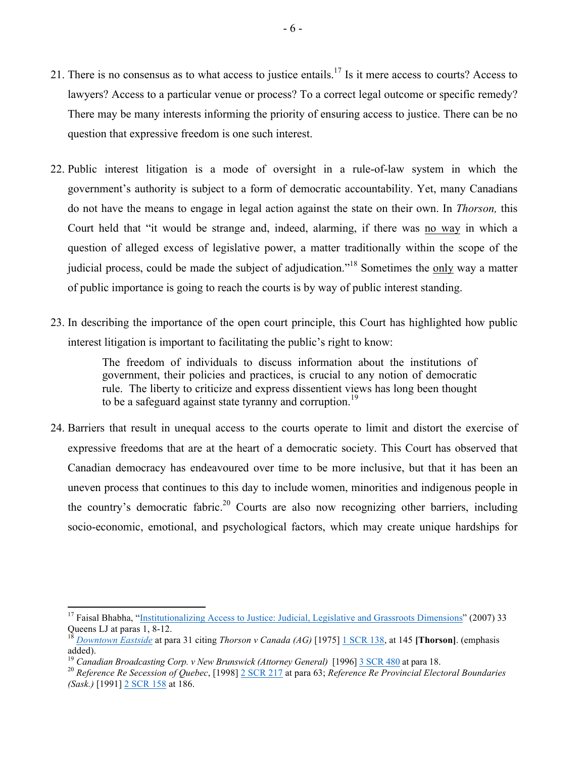- 21. There is no consensus as to what access to justice entails.17 Is it mere access to courts? Access to lawyers? Access to a particular venue or process? To a correct legal outcome or specific remedy? There may be many interests informing the priority of ensuring access to justice. There can be no question that expressive freedom is one such interest.
- 22. Public interest litigation is a mode of oversight in a rule-of-law system in which the government's authority is subject to a form of democratic accountability. Yet, many Canadians do not have the means to engage in legal action against the state on their own. In *Thorson,* this Court held that "it would be strange and, indeed, alarming, if there was no way in which a question of alleged excess of legislative power, a matter traditionally within the scope of the judicial process, could be made the subject of adjudication."<sup>18</sup> Sometimes the only way a matter of public importance is going to reach the courts is by way of public interest standing.
- 23. In describing the importance of the open court principle, this Court has highlighted how public interest litigation is important to facilitating the public's right to know:

The freedom of individuals to discuss information about the institutions of government, their policies and practices, is crucial to any notion of democratic rule. The liberty to criticize and express dissentient views has long been thought to be a safeguard against state tyranny and corruption.<sup>19</sup>

24. Barriers that result in unequal access to the courts operate to limit and distort the exercise of expressive freedoms that are at the heart of a democratic society. This Court has observed that Canadian democracy has endeavoured over time to be more inclusive, but that it has been an uneven process that continues to this day to include women, minorities and indigenous people in the country's democratic fabric.<sup>20</sup> Courts are also now recognizing other barriers, including socio-economic, emotional, and psychological factors, which may create unique hardships for

<sup>&</sup>lt;sup>17</sup> Faisal Bhabha, ["Institutionalizing Access to Justice: Judicial, Legislative and Grassroots Dimensions](https://deliverypdf.ssrn.com/delivery.php?ID=159126001117007121110125076069090112060053059067055000096012070118024087081114125031045016007012016045118122022120102077118114109017029044009096095016100077026115068073060002101100003117010123126089066095094065007112011101107108069007113122014067111020&EXT=pdf&INDEX=TRUE)" (2007) 33 Queens LJ at paras 1, 8-12. 18 *[Downtown Eastside](https://www.canlii.org/en/ca/scc/doc/2012/2012scc45/2012scc45.html?autocompleteStr=downtown&autocompletePos=1)* at para 31 citing *Thorson v Canada (AG)* [1975] [1 SCR 138,](https://www.canlii.org/en/ca/scc/doc/1974/1974canlii6/1974canlii6.pdf) at 145 **[Thorson]**. (emphasis

added).<br><sup>19</sup> Canadian Broadcasting Corp. v New Brunswick (Attorney General) [1996] 3 SCR 480 at para 18.

<sup>&</sup>lt;sup>20</sup> Reference Re Secession of Quebec, [1998] [2 SCR 217](https://www.canlii.org/en/ca/scc/doc/1998/1998canlii793/1998canlii793.html?autocompleteStr=reference re&autocompletePos=3) at para 63; Reference Re Provincial Electoral Boundaries *(Sask.)* [1991] [2 SCR 158](https://www.canlii.org/en/ca/scc/doc/1991/1991canlii61/1991canlii61.pdf) at 186.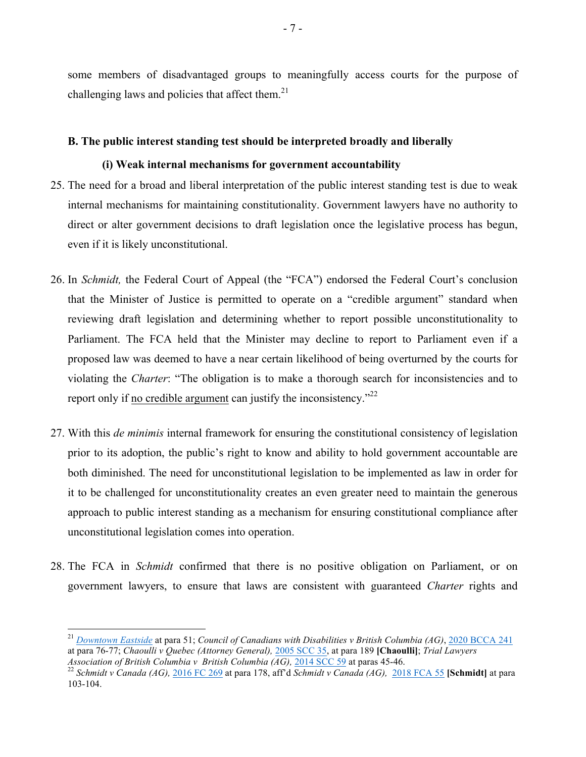some members of disadvantaged groups to meaningfully access courts for the purpose of challenging laws and policies that affect them. $^{21}$ 

### **B. The public interest standing test should be interpreted broadly and liberally**

### **(i) Weak internal mechanisms for government accountability**

- 25. The need for a broad and liberal interpretation of the public interest standing test is due to weak internal mechanisms for maintaining constitutionality. Government lawyers have no authority to direct or alter government decisions to draft legislation once the legislative process has begun, even if it is likely unconstitutional.
- 26. In *Schmidt,* the Federal Court of Appeal (the "FCA") endorsed the Federal Court's conclusion that the Minister of Justice is permitted to operate on a "credible argument" standard when reviewing draft legislation and determining whether to report possible unconstitutionality to Parliament. The FCA held that the Minister may decline to report to Parliament even if a proposed law was deemed to have a near certain likelihood of being overturned by the courts for violating the *Charter*: "The obligation is to make a thorough search for inconsistencies and to report only if <u>no credible argument</u> can justify the inconsistency."<sup>22</sup>
- 27. With this *de minimis* internal framework for ensuring the constitutional consistency of legislation prior to its adoption, the public's right to know and ability to hold government accountable are both diminished. The need for unconstitutional legislation to be implemented as law in order for it to be challenged for unconstitutionality creates an even greater need to maintain the generous approach to public interest standing as a mechanism for ensuring constitutional compliance after unconstitutional legislation comes into operation.
- 28. The FCA in *Schmidt* confirmed that there is no positive obligation on Parliament, or on government lawyers, to ensure that laws are consistent with guaranteed *Charter* rights and

<sup>21</sup> *[Downtown Eastside](https://www.canlii.org/en/ca/scc/doc/2012/2012scc45/2012scc45.html?autocompleteStr=downtown&autocompletePos=1)* at para 51; *Council of Canadians with Disabilities v British Columbia (AG)*, [2020 BCCA 241](https://www.canlii.org/en/bc/bcca/doc/2020/2020bcca241/2020bcca241.html?autocompleteStr=2020 BCCA 241&autocompletePos=1) at para 76-77; *Chaoulli v Quebec (Attorney General),* [2005 SCC 35](https://www.canlii.org/en/ca/scc/doc/2005/2005scc35/2005scc35.html?autocompleteStr=chao&autocompletePos=1), at para 189 **[Chaoulli]**; *Trial Lawyers* 

*Association of British Columbia v British Columbia (AG),* 2014 SCC 59 at paras 45-46. 22 *Schmidt v Canada (AG),* [2016 FC 269](https://www.canlii.org/en/ca/fct/doc/2016/2016fc269/2016fc269.html#document) at para 178, aff'd *Schmidt v Canada (AG),* [2018 FCA 55](https://www.canlii.org/en/ca/fca/doc/2018/2018fca55/2018fca55.html) **[Schmidt]** at para 103-104.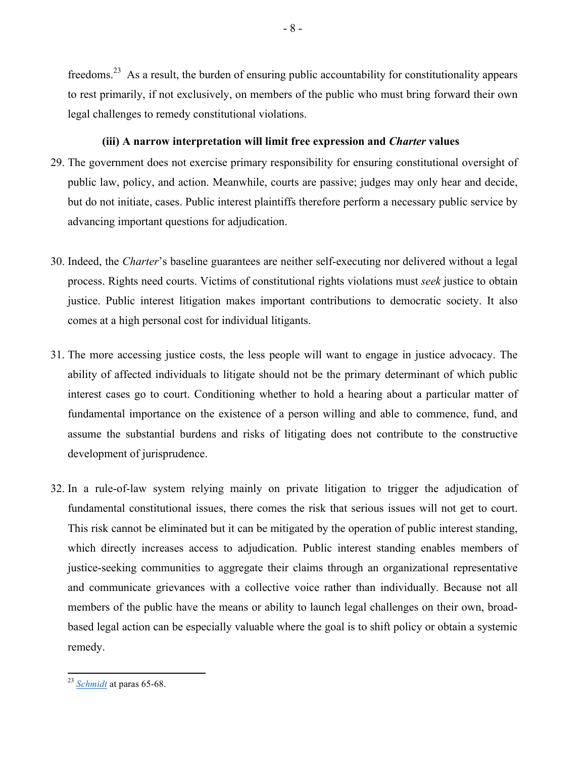freedoms.23 As a result, the burden of ensuring public accountability for constitutionality appears to rest primarily, if not exclusively, on members of the public who must bring forward their own legal challenges to remedy constitutional violations.

- 8 -

## **(iii) A narrow interpretation will limit free expression and** *Charter* **values**

- 29. The government does not exercise primary responsibility for ensuring constitutional oversight of public law, policy, and action. Meanwhile, courts are passive; judges may only hear and decide, but do not initiate, cases. Public interest plaintiffs therefore perform a necessary public service by advancing important questions for adjudication.
- 30. Indeed, the *Charter*'s baseline guarantees are neither self-executing nor delivered without a legal process. Rights need courts. Victims of constitutional rights violations must *seek* justice to obtain justice. Public interest litigation makes important contributions to democratic society. It also comes at a high personal cost for individual litigants.
- 31. The more accessing justice costs, the less people will want to engage in justice advocacy. The ability of affected individuals to litigate should not be the primary determinant of which public interest cases go to court. Conditioning whether to hold a hearing about a particular matter of fundamental importance on the existence of a person willing and able to commence, fund, and assume the substantial burdens and risks of litigating does not contribute to the constructive development of jurisprudence.
- 32. In a rule-of-law system relying mainly on private litigation to trigger the adjudication of fundamental constitutional issues, there comes the risk that serious issues will not get to court. This risk cannot be eliminated but it can be mitigated by the operation of public interest standing, which directly increases access to adjudication. Public interest standing enables members of justice-seeking communities to aggregate their claims through an organizational representative and communicate grievances with a collective voice rather than individually. Because not all members of the public have the means or ability to launch legal challenges on their own, broadbased legal action can be especially valuable where the goal is to shift policy or obtain a systemic remedy.

<sup>23</sup> *[Schmidt](https://www.canlii.org/en/ca/fca/doc/2018/2018fca55/2018fca55.html)* at paras 65-68.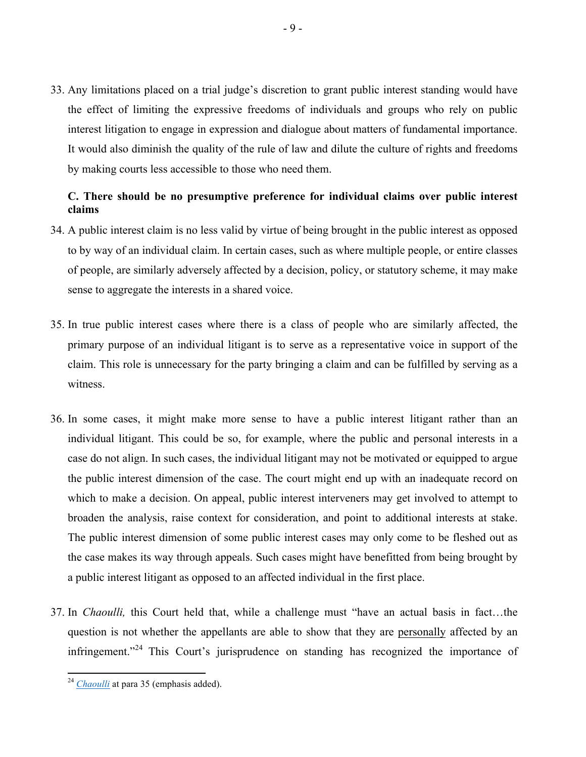33. Any limitations placed on a trial judge's discretion to grant public interest standing would have the effect of limiting the expressive freedoms of individuals and groups who rely on public interest litigation to engage in expression and dialogue about matters of fundamental importance. It would also diminish the quality of the rule of law and dilute the culture of rights and freedoms by making courts less accessible to those who need them.

## **C. There should be no presumptive preference for individual claims over public interest claims**

- 34. A public interest claim is no less valid by virtue of being brought in the public interest as opposed to by way of an individual claim. In certain cases, such as where multiple people, or entire classes of people, are similarly adversely affected by a decision, policy, or statutory scheme, it may make sense to aggregate the interests in a shared voice.
- 35. In true public interest cases where there is a class of people who are similarly affected, the primary purpose of an individual litigant is to serve as a representative voice in support of the claim. This role is unnecessary for the party bringing a claim and can be fulfilled by serving as a witness.
- 36. In some cases, it might make more sense to have a public interest litigant rather than an individual litigant. This could be so, for example, where the public and personal interests in a case do not align. In such cases, the individual litigant may not be motivated or equipped to argue the public interest dimension of the case. The court might end up with an inadequate record on which to make a decision. On appeal, public interest interveners may get involved to attempt to broaden the analysis, raise context for consideration, and point to additional interests at stake. The public interest dimension of some public interest cases may only come to be fleshed out as the case makes its way through appeals. Such cases might have benefitted from being brought by a public interest litigant as opposed to an affected individual in the first place.
- 37. In *Chaoulli,* this Court held that, while a challenge must "have an actual basis in fact…the question is not whether the appellants are able to show that they are personally affected by an infringement."<sup>24</sup> This Court's jurisprudence on standing has recognized the importance of

<sup>&</sup>lt;sup>24</sup> *[Chaoulli](https://www.canlii.org/en/ca/scc/doc/2005/2005scc35/2005scc35.html?autocompleteStr=chao&autocompletePos=1)* at para 35 (emphasis added).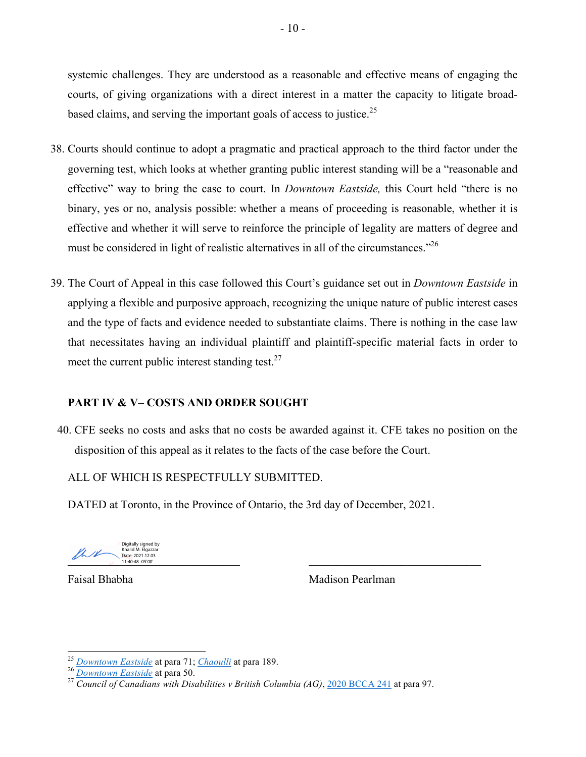systemic challenges. They are understood as a reasonable and effective means of engaging the courts, of giving organizations with a direct interest in a matter the capacity to litigate broadbased claims, and serving the important goals of access to justice.<sup>25</sup>

- 38. Courts should continue to adopt a pragmatic and practical approach to the third factor under the governing test, which looks at whether granting public interest standing will be a "reasonable and effective" way to bring the case to court. In *Downtown Eastside,* this Court held "there is no binary, yes or no, analysis possible: whether a means of proceeding is reasonable, whether it is effective and whether it will serve to reinforce the principle of legality are matters of degree and must be considered in light of realistic alternatives in all of the circumstances.<sup>226</sup>
- 39. The Court of Appeal in this case followed this Court's guidance set out in *Downtown Eastside* in applying a flexible and purposive approach, recognizing the unique nature of public interest cases and the type of facts and evidence needed to substantiate claims. There is nothing in the case law that necessitates having an individual plaintiff and plaintiff-specific material facts in order to meet the current public interest standing test. $27$

## **PART IV & V– COSTS AND ORDER SOUGHT**

40. CFE seeks no costs and asks that no costs be awarded against it. CFE takes no position on the disposition of this appeal as it relates to the facts of the case before the Court.

ALL OF WHICH IS RESPECTFULLY SUBMITTED.

DATED at Toronto, in the Province of Ontario, the 3rd day of December, 2021.

Digitally signed by Khalid M. Flgazza Date: 2021.12.03 11:40:48 -05'00'

for Faisal Bhabha

Mall metrics (2021.12.03 )<br>
Date: 2021.12.03 (2021.12.03 11:41:23 )<br>
(11:40:48-05'00' itally signed by Khalid

for Madison Pearlman

<sup>&</sup>lt;sup>25</sup> *[Downtown Eastside](https://www.canlii.org/en/ca/scc/doc/2012/2012scc45/2012scc45.html?autocompleteStr=downtown&autocompletePos=1)* at para 71; *[Chaoulli](https://www.canlii.org/en/ca/scc/doc/2005/2005scc35/2005scc35.html?autocompleteStr=chao&autocompletePos=1)* at para 189.<br><sup>26</sup> *Downtown Eastside* at para 50.<br><sup>27</sup> *Council of Canadians with Disabilities v British Columbia (AG)*, <u>[2020 BCCA 241](https://www.canlii.org/en/bc/bcca/doc/2020/2020bcca241/2020bcca241.html?autocompleteStr=2020 BCCA 241&autocompletePos=1)</u> at para 97.